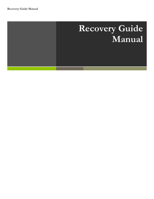# **Recovery Guide Manual**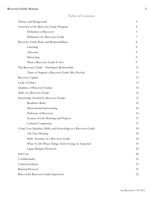### **Table of Contents**

| History and Background                                          | $\mathfrak{Z}$ |
|-----------------------------------------------------------------|----------------|
| Overview of the Recovery Guide Program                          | 4              |
| Definition of Recovery                                          | 5              |
| Definition of a Recovery Guide                                  | 7              |
| Recovery Guide Roles and Responsibilities                       | 8              |
| Listening                                                       | 8              |
| Advocacy                                                        | 8              |
| Mentoring                                                       | 9              |
| What a Recovery Guide Is Not                                    | 9              |
| The Recovery Guide - Participant Relationship                   | 11             |
| Types of Support a Recovery Guide May Provide                   | 11             |
| Recovery Capital                                                | 12             |
| Code of Ethics                                                  | 13             |
| Qualities of Recovery Guides                                    | 14             |
| Skills of a Recovery Guide                                      | 14             |
| Knowledge Needed by Recovery Guides                             | 15             |
| Readiness Ruler                                                 | 15             |
| Motivational Interviewing                                       | 16             |
| Pathways of Recovery                                            | 16             |
| Sources of Life Meaning and Purpose                             | 17             |
| <b>Cultural Competency</b>                                      | 17             |
| Using Your Qualities, Skills, and Knowledge as a Recovery Guide | 18             |
| The First Meeting                                               | 18             |
| Daily Activities of a Recovery Guide                            | 18             |
| What To Do When Things Aren't Going As Expected                 | 19             |
| Lapse/Relapse Protocols                                         | 20             |
| Self-Care                                                       | 20             |
| Confidentiality                                                 | 21             |
| Critical Incidents                                              | 21             |
| Referral Protocol                                               | 21             |
| Role of the Recovery Guide Supervisor                           | 22             |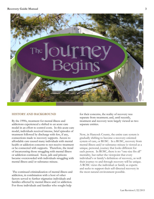

#### **HISTORY AND BACKGROUND**

By the 1990s, treatment for mental illness and addictions experienced a shifted to an acute care model in an effort to control costs. In this acute care model, individuals received intense, brief episodes of treatment followed by discharge with few, if any, connections made to recovery supports. Access to affordable care caused many individuals with mental health or addiction concerns to not receive treatment or be connected with supports. Therefore, the trend of incarcerating those struggling with mental illness or addiction continued. Soon, jails and prisons became overcrowded with individuals struggling with mental illness and/or substance misuse.

The continued criminalization of mental illness and addiction, in combination with a host of other factors served to further stigmatize individuals and families affected by mental illness and/or addiction. For those individuals and families who sought help

for their concerns, the reality of recovery was separate from treatment; and, until recently, treatment and recovery were largely viewed as two separate entities.

Now, in Hancock County, the entire care system is gradually shifting to become a recovery-oriented system of care, or ROSC. In a ROSC, recovery from mental illness and/or substance misuse is viewed as a unique, personal, journey that looks different for each person. In ROSC, there is no "one-size fits all" mentality, but rather the viewpoint that every individual's or family's definition of recovery, as well their journey to and through recovery will be unique. A ROSC views the individual or family as experts and seeks to support their self-directed recovery in the most natural environment possible.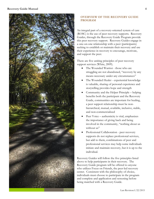

#### **OVERVIEW OF THE RECOVERY GUIDE PROGRAM**

An integral part of a recovery-oriented system of care (ROSC) is the use of peer recovery supports. Recovery Guides, through the Recovery Guide Program provide this peer recovery support. Recovery Guides engage in a one-on-one relationship with a peer (participants) seeking to establish or maintain their recovery and use their experience in recovery to encourage, motivate, and support the peer.

There are five uniting principles of peer recovery support services (White, 2009).

- The Wounded Warrior those who are struggling are not abandoned, "recovery by any means necessary under any circumstances"
- The Wounded Healer experiential knowledge is valuable, sharing of personal experience and storytelling provides hope and strength
- Community and the Helper Principle helping benefits both the participant and the Recovery Guide, communities are important for healing, a peer support relationship must be nonhierarchical, mutual, available, inclusive, stable, and non-commercialized
- Peer Voice authenticity is vital, emphasizes the importance of giving back and being involved in the community, "nothing about us without us"
- Professional Collaboration peer recovery supports do not replace professional services, but add to them, combinations of peer and professional services may help some individuals initiate and maintain recovery, but it is up to the individual.

Recovery Guides will follow the five principles listed above to help participants in their recovery. The Recovery Guide program will be offered to anyone who utilizes Focus on Friends, the peer-led recovery center. Consistent with the philosophy of choice, individuals must choose to participate in the program and complete and application and screening before being matched with a Recovery Guide.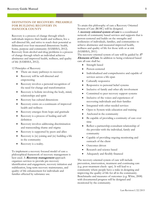#### **DEFINITION OF RECOVERY: PREAMBLE FOR BUILDING RECOVERY IN HANCOCK COUNTY**

Recovery is a process of change through which individuals improve their health and wellness, live a self-directed life, and strive to reach their potential as delineated over four measured dimensions: health, home, purpose and community (SAMHSA, 2012). Recovery from alcohol and drug problems is a process of change through which an individual achieves abstinence and improved health, wellness, and quality of life (SAMHSA, 2012).

12 Principles of Recovery

- There are many pathways to recovery
- Recovery will be self-directed and empowering
- Recovery involves a personal recognition of the need for change and transformation
- Recovery is holistic involving the body, mind, relationships and spirit
- Recovery has cultural dimensions
- Recovery exists on a continuum of improved health and wellness
- Recovery emerges from hope and gratitude
- Recovery is a process of healing and selfdefinition
- Recovery involves addressing discrimination and transcending shame and stigma
- Recovery is supported by peers and allies
- Recovery is (re) joining and (re) building a life in the community
- Recovery is a reality.

To implement a recovery focused model of care a philosophical framework of recovery management is best used. A **Recovery management** approach organizes services to provide pre-recovery identification and engagement, recovery initiation and stabilization, long-term recovery maintenance, and quality of life enhancement for individuals and families affected by substance use.

To attain this philosophy of care a Recovery Oriented System of Care (ROSC) will be designed.

A **recovery oriented system of care** is a coordinated network of community based services and supports that is person-centered and builds on the strengths and resiliencies of individuals, families, and communities to achieve abstinence and measured improved health, wellness and quality of life for those with or at risk (SAMHSA, 2011)

The recovery-oriented system of care will be guided by **<sup>17</sup> Elements of Care.** In addition to being evidenced based care all care shall be:

- Strength based
- Person-centered
- Individualized and comprehensive and capable of services across a life-span
- Culturally responsive
- Responsive to personal belief systems
- Inclusive of family and other ally involvement
- Committed to peer recovery support systems
- Inclusive of the voices and experiences of recovering individuals and their families
- Integrated with other needed services
- Open to System-wide education and training
- Anchored in the community
- Be capable of providing a continuity of care over time
- Reflect a partnership-consultant relationship of the provider with the individual, family and community
- Capable of providing ongoing monitoring and outreach of the client
- Outcomes driven
- Research and science based
- Adequately and flexibly financed

The recovery-oriented system of care will include prevention, intervention, treatment and continuing care (e.g. post-treatment check- ups). It will lead to a community where people have a stake in designing and improving the quality of life for all in the community. Benchmarks and measures of outcomes (e.g. White, 2008) with documented progress will be designed and monitored by the community.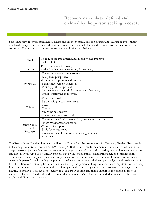**Recovery can only be defined and claimed by the person seeking recovery.**

Some may view recovery from mental illness and recovery from addiction or substance misuse as two entirely unrelated things. There are several themes recovery from mental illness and recovery from addiction have in common. These common themes are summarized in the chart below:

| Goal                                    | To reduce the impairment and disability, and improve<br>quality of life                                                                                                                                                                                     |  |  |
|-----------------------------------------|-------------------------------------------------------------------------------------------------------------------------------------------------------------------------------------------------------------------------------------------------------------|--|--|
| Role of                                 | Person is agent of recovery.                                                                                                                                                                                                                                |  |  |
| person                                  | Active involvement is necessary for recovery.                                                                                                                                                                                                               |  |  |
| Principles                              | -Focus on person and environment<br>-Long-term perspective<br>-Recovery is a process and nonlinear<br>-Family involvement is helpful<br>-Peer support is important<br>-Spirituality may be critical component of recovery<br>-Multiple pathways to recovery |  |  |
| Values                                  | -Person-centered<br>-Partnership (person involvement)<br>-Growth<br>-Choice<br>-Strengths perspective<br>-Focus on wellness and health                                                                                                                      |  |  |
| Strategies to<br>Facilitate<br>Recovery | -Treatment <i>i.e.</i> : Crisis intervention, medication, therapy,<br>illness management education<br>-Community support<br>-Skills for valued roles<br>-On-going, flexible recovery-enhancing services<br>-Advocacy                                        |  |  |

The Preamble for Building Recovery in Hancock County lays the groundwork for Recovery Guides. Recovery is not a straightforward formula of "a+b= recovery". Rather, recovery from a mental illness and/or addiction is a deeply personal journey that involves reclaiming things that were lost and discovering one's ability to move beyond limitations. Recovery can be a messy process that involves taking risks, making mistakes, and learning from experiences. These things are important for growing both in recovery and as a person. Recovery impacts every aspect of a person's life including the physical, intellectual, emotional, relational, personal, and spiritual aspects of their life. Recovery can only be defined and claimed by the person seeking recovery; this is important for Recovery Guides to remember. How an individual or family view their recovery identity can also vary, from negative, to neutral, to positive. This recovery identity may change over time, and that is all part of the unique journey of recovery. Recovery Guides should remember that a participant's feelings about and identification with recovery might be different than their own.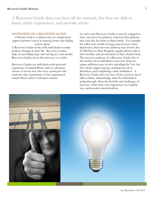A Recovery Guide does not have all the answers, but they are able to listen, share experiences, and provide advice.

#### **DEFINTION OF A RECOVERY GUIDE**

*A Recovery Guide is a volunteer who uses strength-based support to promote recovery by removing barriers and building recovery capital.*

A Recovery Guide works with individuals to make positive changes in their life. Recovery Guides help, by providing hope and serving as a role model. Recovery Guides show that recovery is a reality.

Recovery Guides are individuals with personal experience of mental illness and/or substance misuse or loved ones who have journeyed with someone who experiences or has experienced mental illness and/or substance misuse.

As such, each Recovery Guide is actively engaged in their own recovery pathway, whatever that pathway may look like for them or their family. For example, for a Recovery Guide in long-term recovery from depression, their recovery pathway may involve the NAMI Peer-to-Peer Program, regular phone calls to their brother, and involvement in their church choir. The recovery pathway of a Recovery Guide who is the mother of an individual in recovery from an opiate addiction may involve attending the You Are Not Alone support group, working her job at Marathon, and completing a daily meditation. A Recovery Guide does not have all the answers, but is able to listen, acknowledge what the individual is going through, share the benefits and challenges of recovery, relate their own experiences in a helpful way, and provide practical advice.

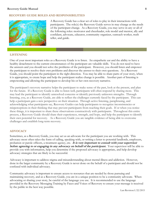#### **RECOVERY GUIDE ROLES AND RESPONSIBILITIES**



A Recovery Guide has a clear set of roles to play in their interactions with participants. The role(s) the Recovery Guide serves in may change as the needs of the participant change. As a Recovery Guide, you may serve in any or all of the following roles: motivator and cheerleader, role model and mentor, ally and confidant, advocate, educator, community organizer, outreach worker, truth teller, and guide.

#### **LISTENING**

One of your most important roles as a Recovery Guide is to listen. An empathetic ear and the ability to have a healthy detachment to the current circumstances of the participant are valuable skills. You do not need to have the answers and you should not solve the problems of the participant. However, you should listen and empower the participant to resolve their own problems and discover the answer to their own questions. As a Recovery Guide, you should point the participant in the right direction. You may be able to share parts of your story, when it is appropriate, to create hope and help the participant realize change is possible. Another part of listening is empowering and allowing the participant to develop his or her own recovery narrative.

The participant's recovery narrative helps the participant to make sense of the past, look at the present, and plan for the future. If a Recovery Guide is able to listen well, participants will often respond by sharing more. This may lead the participant to identify unresolved concerns or identify previously unknown strengths. Through listening, you, as a Recovery Guide, are able to reflect the challenges currently faced by the participant. This can help a participant gain a new perspective on their situation. Through active listening, paraphrasing, and acknowledging what participants say, Recovery Guides can help participants to recognize inconsistencies or misperceptions in their thinking that may prevent participants from reaching their goals. If or when you notice these things, it is important to share these observations constructively with participants. Throughout this entire process, a Recovery Guide should share their experiences, strength, and hope, and help the participant to identify their own potential for recovery. As s Recovery Guide you are tangible evidence of being able to overcome challenges and establish long-term recovery.

#### **ADVOCACY**

Sometimes, as a Recovery Guide, you may act as an advocate for the participant you are working with. This advocacy most often takes the form of calling, speaking with, or writing a letter to potential landlords, employers, probation or parole officers, a treatment agency, etc. **It is very important to consult with your supervisor before agreeing to or engaging in any advocacy on behalf of the participant.**Your supervisor will be able to provide you with information, help you determine if the proposed advocacy is appropriate, and help develop advocacy strategies that are likely to be successful.

Advocacy is important to address stigma and misunderstanding about mental illness and addiction. However, done in the larger community by a Recovery Guide is never done on the behalf of a participant and should not be confused with individual advocacy.

Community advocacy is important to ensure access to resources that are needed by those pursuing and maintaining recovery, and as a Recovery Guide, you are in a unique position to be a community advocate. When advocating or sharing your story, be careful of the language you use. It is recommended to use the language provided in the Recovery Messaging Training by Faces and Voices of Recovery to ensure your message is received by the public in the best way possible.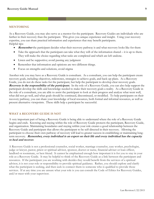#### **MENTORING**

As a Recovery Guide, you may also serve as a mentor for the participant. Recovery Guides are individuals who are farther in their recovery than the participant. This gives you unique experience and insight. Using your recovery expertise, you can share practical information and experiences that may benefit participants. Helpful tips:

- **Remember** the participant decides what their recovery pathway is and what recovery looks like for them
- Take the approach that the participant can take what they will of the information shared it is up to them. They will make the choice regarding what tasks are completed and which are left undone.
- Listen and be supportive; avoid passing any judgment
- Remember that information and opinions are two different things.
- Focus on strengths and solutions, avoid stigma

Another role you may have as a Recovery Guide is consultant. As a consultant, you can help the participant create recovery goals, including objectives, milestones, strategies to achieve goals, and back-up plans. As a Recovery Guide, you do not do these tasks for the participant, but help the participant to develop clear recovery goals. **Recovery is the responsibility of the participant.** In the role of a Recovery Guide, you can also help support the participant develop the skills and knowledge needed to make their recovery goals a reality. As a Recovery Guide in the role of a consultant, you are able to assist the participant to look at their progress and analyze what went well, what did not go well, and what goals should be continued, discontinued, or modified. To help participants on their recovery pathway, you can share your knowledge of local resources, both formal and informal resources, as well as present alternative viewpoints. These skills help a participant be successful.

#### **WHAT A RECOVERY GUIDE IS NOT**

A very important part of being a Recovery Guide is being able to understand where the role of a Recovery Guide begins and ends. Knowing and staying within the role of Recovery Guide protects the participant, Recovery Guide, and organization. Maintaining boundaries and staying within your role creates a good relationship between the Recovery Guide and participant that allows the participant to be self-directed in their recovery. Allowing the participant to choose their own pathway of recovery will lead to greater success in establishing or maintaining longterm recovery. **Remember, every individual is an expert on their life and every individual has the capacity to heal and recover.**

A Recovery Guide is not a professional counselor, social worker, marriage counselor, case worker, psychologist, judge or lawyer, pastor, priest or spiritual advisor, sponsor, doctor or nurse, financial adviser or loan officer, landlord or roommate, or best friend. It cannot be emphasized enough how important it is for you to stay in your role as a Recovery Guide. It may be helpful to think of the Recovery Guide as a link between the participant and resources. If the participant you are working with decides they would benefit from the services of a spiritual advisor, it is not your role or responsibility to provide spiritual guidance. Rather, you should explore and clarify what the participant is seeking, and then seek to connect them to someone who is qualified to provide those services. If at any time you are unsure what your role is you can consult the Code of Ethics for Recovery Guides, and/or meet with your supervisor.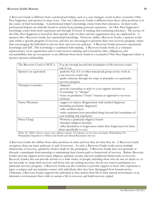A Recovery Guide is different from a professional helper, such as a case manager, social worker, counselor, Ohio Peer Supporter, and sponsor in many ways. One way a Recovery Guide is different from these other positions is in the source of their knowledge. A professional helper's knowledge comes from their education. In their work, professional helpers are ethically bound to refrain from sharing personal experience. An Ohio Peer Supporter's knowledge comes from both experience and through 52 hours of training and continuing education. The service of the Ohio Peer Supporter is bound by their specific code of ethics and the organization they are employed by. A sponsor, like a Recovery Guide, has experiential knowledge. However, unlike a Recovery Guide, a sponsor works only within a specific program of recovery and they are encouraged to promote their own recovery program, rather than encouraging the individual to choose their own recovery pathway. A Recovery Guide possesses experiential knowledge and skill. This knowledge is combined with training. A Recovery Guide works as a volunteer representative of an organization and as such receives training, and is bound by rules, obligations, and accountabilities that are not present or are different from those found in a counselor/Ohio Peer Supporter-client or sponsor-sponsee relationship.

| The Recovery Coach is NOT a:                              | You are moving beyond the boundaries of the recovery coach                                                                                                                                                                                                                                                                                                  |  |  |  |
|-----------------------------------------------------------|-------------------------------------------------------------------------------------------------------------------------------------------------------------------------------------------------------------------------------------------------------------------------------------------------------------------------------------------------------------|--|--|--|
|                                                           | role if you:                                                                                                                                                                                                                                                                                                                                                |  |  |  |
| Sponsor (or equivalent)                                   | -perform NA/AA or other mutual-aid group service work in                                                                                                                                                                                                                                                                                                    |  |  |  |
|                                                           | your recovery coach role                                                                                                                                                                                                                                                                                                                                    |  |  |  |
|                                                           | -guide someone through the steps or principles or a particular                                                                                                                                                                                                                                                                                              |  |  |  |
|                                                           | recovery program                                                                                                                                                                                                                                                                                                                                            |  |  |  |
| Therapist/counselor                                       | -diagnose                                                                                                                                                                                                                                                                                                                                                   |  |  |  |
|                                                           | -provide counseling or refer to your support activities as                                                                                                                                                                                                                                                                                                  |  |  |  |
|                                                           | "counseling" or "therapy"                                                                                                                                                                                                                                                                                                                                   |  |  |  |
|                                                           | -focus on problems/"issues"/trauma as opposed to recovery                                                                                                                                                                                                                                                                                                   |  |  |  |
|                                                           | solutions                                                                                                                                                                                                                                                                                                                                                   |  |  |  |
| Nurse/Physician                                           | -suggest or express disagreement with medical diagnoses                                                                                                                                                                                                                                                                                                     |  |  |  |
|                                                           | (including psychiatric diagnoses)                                                                                                                                                                                                                                                                                                                           |  |  |  |
|                                                           | -offer medical advice                                                                                                                                                                                                                                                                                                                                       |  |  |  |
|                                                           | -make statement bout prescribed drugs beyond the boundaries of                                                                                                                                                                                                                                                                                              |  |  |  |
|                                                           | your training and experience                                                                                                                                                                                                                                                                                                                                |  |  |  |
| Priest/Clergy                                             | -Promote a particular religion/church                                                                                                                                                                                                                                                                                                                       |  |  |  |
|                                                           | -Interpret religious doctrine                                                                                                                                                                                                                                                                                                                               |  |  |  |
|                                                           | -offer absolution or forgiveness (other than forgiveness for harm                                                                                                                                                                                                                                                                                           |  |  |  |
|                                                           | done specifically to you)                                                                                                                                                                                                                                                                                                                                   |  |  |  |
| $\mathbf{W}^{n+1}$ $\mathbf{W}^{n}$ (0000) $\mathbf{C}$ . | $\mathcal{L}$ $\mathcal{L}$ $\mathcal{L}$ $\mathcal{L}$ $\mathcal{L}$ $\mathcal{L}$ $\mathcal{L}$ $\mathcal{L}$ $\mathcal{L}$ $\mathcal{L}$ $\mathcal{L}$ $\mathcal{L}$ $\mathcal{L}$ $\mathcal{L}$ $\mathcal{L}$ $\mathcal{L}$ $\mathcal{L}$ $\mathcal{L}$ $\mathcal{L}$ $\mathcal{L}$ $\mathcal{L}$ $\mathcal{L}$ $\mathcal{L}$ $\mathcal{L}$ $\mathcal{$ |  |  |  |

White, W. (2006). *Sponsor, recovery coach, addiction counselor: The importance of role clarity and integrity.* Philadelphia, PA: Philadelphia Department of Behavioral Health and Mental Retardation Services

A Recovery Guide also differs from other positions in what and how they do what they do. A Recovery Guide recognizes there are many pathways to and of recovery. As such, a Recovery Guide works across multiple frameworks of recovery, guided by choices made by the participant. A Recovery Guide does not persuade or dissuade a participant from pursuing or maintaining their chosen path or framework of recovery. Rather, Recovery Guides provide support across many religious, spiritual, secular, and non-traditional frameworks of recovery. Recovery Guides also can provide services to a wide variety of people, including those who do not yet desire to, or are not ready to, begin their recovery and those who are seeking recovery, but do not want to participate in a particular recovery program. A Recovery Guide can also continue to provide support to those who experience a lapse or relapse and can maintain contact with individuals after they have disengaged from formal service. Ultimately, a Recovery Guide supports the individual as they anchor their life in their natural environment or an alternative environment that is able to sustain a life in recovery and build recovery capital.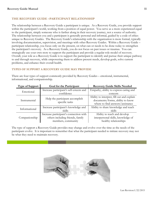#### **THE RECOVERY GUIDE –PARTICIPANT RELATIONSHIP**

The relationship between a Recovery Guide a participant is unique. As a Recovery Guide, you provide support within the participant's world, working from a position of equal power. You serve as a more experienced equal to the participant, simply someone who is farther along in their recovery journey, not a source of authority. The relationship between you and a participant is generally personal and informal, guided by a code of ethics unique to Recovery Guides. The Recovery Guide's relationship with the organization is more formal, typically involving documentation, supervision, and meetings with other Recovery Guides. Within a Recovery Guide – participant relationship, you focus only on the present, on what can or needs to be done today to strengthen the participant's recovery. As a Recovery Guide, you do not focus on past issues or traumas. You can strategically use your own story to support the participant and provide a regular role model of recovery. Overall, your role as a Recovery Guide is to support the participant to identify and pursue their unique pathway to and through recovery, while empowering them to address present needs, develop goals, solve current problems, and enhance their overall health.

#### **TYPES OF SUPPORT A RECOVERY GUIDE MAY PROVIDE**

| <b>Type of Support</b> | Goal for the Participant                          | <b>Recovery Guide Skills Needed</b>        |  |
|------------------------|---------------------------------------------------|--------------------------------------------|--|
| Emotional              | Increase participant's self-esteem and            | Empathy, ability to express caring and     |  |
|                        | confidence                                        | concern                                    |  |
|                        |                                                   | Ability to interpret, fill out and explain |  |
| Instrumental           | Help the participant accomplish<br>specific tasks | documents/forms, ability to know           |  |
|                        |                                                   | where to find answers/assistance           |  |
| Informational          | Increase participant's knowledge and              | Ability to share knowledge and teach       |  |
|                        | skills                                            | skills                                     |  |
|                        | Increase participant's connection with            | Ability to teach and develop               |  |
| Companionship          | others including friends, family                  | interpersonal skills, knowledge of         |  |
|                        | members, community                                | healthy relationships                      |  |

There are four types of support commonly provided by Recovery Guides – emotional, instrumental, informational, and companionship.

The type of support a Recovery Guide provides may change and evolve over the time as the needs of the participant evolve. It is important to remember that what the participant needed to initiate recovery may not be what they need to maintain recovery.

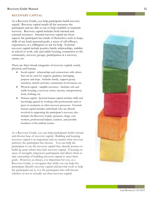#### **RECOVERY CAPITAL**

As a Recovery Guide, you help participants build recovery capital. Recovery capital entails all the resources the participant and are able to use to help establish or maintain recovery. Recovery capital includes both internal and external resources. Internal recovery capital are those aspects the participant has inside of themselves such as hope, skills of any kind, personal goals, a sense of self-efficacy, experiences, or a willingness to ask for help. External recovery capital include positive family relationships, stability in school or work, safe and stable housing, connection to the community, recovery groups, participation at a recovery center, etc.

There are three broad categories of recovery capital: social, physical, and human.

- Social capital relationships and connections with others that can be used for support, guidance, belonging, purpose and hope. Includes family, support group members, church activities, community involvement, etc.
- Physical capital tangible resources. Includes safe and stable housing, a recovery center, income, transportation, food, clothing, etc.
- Human capital Internal human capital includes skills and knowledge gained by working with professionals and/or peers in treatment or other recovery processes. External human capital includes individuals who are directly involved in supporting the participant's recovery; also includes the Recovery Guide, sponsors, clergy, case workers, professional helpers, teachers, and possibly members of the judicial system.

As a Recovery Guide, you can help participants build a broad and diverse base of recovery capital. Building and keeping recovery capital is an important task no matter what recovery pathway the participant has chosen. You can help the participant to use the recovery capital they already possess to build up areas where they lack recovery capital. Focusing on areas of strengths empowers participants and allows them to take ownership of building recovery capital to meet their goals. However, as always, it is important for you, as a Recovery Guide, to recognize that while you can help the participant identify recovery capital and provide tools to help the participant use it, it is the participant who will choose whether or not to actually use their recovery capital.

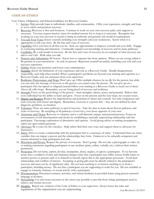#### **CODE OF ETHICS**

Core Values, Obligations, and Ethical Guidelines for Recovery Guides:

- 1. Service: Help provide hope to individuals, families, and communities. Offer your experience, strength, and hope to serve others and promote recovery.
- 2. Recovery: Recovery is first and foremost. Continue to work on your own recovery path, seek support as necessary. You may request inactive status for medical reasons for so long as is necessary. Recognize that working on your own recovery is crucial to being an authentic and genuine role model for participants.
- 3. You and Your Voice: Know yourself, including your strengths and your weaknesses. Know when it is appropriate to tell your story. Be the face and voice of recovery.
- 4. Capability: Give your best in all that you do. Seek out opportunities to improve yourself and your skills. Engage in continuing training and education. Continually expand your knowledge of recovery and its many pathways.
- 5. Credibility: Be a role-model of recovery. Be the face and voice of recovery; be an example of what recovery can add to one's life. Walk what you talk.
- 6. Honesty and Authenticity: Be honest. Know how to separate fact from opinion. When you are wrong, admit it. Be genuine in your interactions – be real, be present. Represent yourself accurately, including your role and your recovery experience.
- 7. Fidelity: Keep your promises and honor your commitments.
- 8. Humility: Know the limitations of your experience and role as a Recovery Guide. Handle disagreements respectfully, seek help when needed. When a participant's problems are beyond your training and expertise as a Recovery Guide, seek out assistance from your supervisor.
- 9. Resilience, Perseverance, and Hope: Don't give up. Offer multiple chances; be an ally for the person, but while you can carry the message of recovery to the person, you cannot carry the person. Do not give up on a participant who has lapsed or relapsed; instead follow your training as a Recovery Guide to reach out to them. Above all, offer hope. Remember, you are living proof of recovery and resilience.
- 10. Strength: Focus on the good things of the person their strengths, talents, assets, and potential. Believe that every individual has the ability to learn and grow. Focus on the present and the next steps, not on past issues.
- 11. Dignity and Respect: Respect the imperfections and potential of others and yourself. Act with compassion and treat everyone with honor and dignity. Remember, everyone is a person first – they are not defined by their diagnosis, problems, or situation.
- 12. Tolerance: There are many pathways to and of recovery. Take the time to learn about diverse pathways and styles of recovery. Be accepting of all pathways of recovery, even those opposite of your own.
- 13. Autonomy and Choice: Recovery is voluntary and is a self-directed, unique, and personal process. Foster an environment of self-determination and choice by establishing a mutually empowering relationship with the participant. Encourage exploration of alternatives and options. Avoid giving advice or making assumptions, rather ask open-ended questions.
- 14. Advocacy: Be a voice for the voiceless. Help others find their own voice and support them to advocate for themselves.
- 15. Safety: Strive to create a relationship with the participant that is a sanctuary of safety. Understand there are many variables that can impact a person and the relationships they form. Endeavor to be culturally-competent and trauma-informed to help participants feel safe.
- 16. Discretion and Privacy: Respect the privacy of everyone. Don't gossip. Do not take a photograph or video of, or making statements regarding participants in any medium (print, online, verbally, etc.) without their written permission.
- 17. Protection: Do not harm, exploit, devalue, manipulate, abuse, neglect, or ignore a participant. If you become aware that a condition of clear and imminent danger exists that a participant may inflict serious bodily harm on another person or persons and/or to himself or herself, report this to the appropriate personnel. Avoid dual relationships and conflicts of interest. Accepting or giving gifts must be directly related to the participant's recovery and must not be of significant value. Do not loan anything to or borrow anything to or from a participant, including money. Do not hire a participant you are supporting to work for you. Do not establish or engage in romantic, intimate, or sexual activity with a participant.
- 18. Documentation: Document contacts, activities, and critical incidents in provided forms using person-centered language at all times.
- 19. Stewardship: Use and create resources in the wisest way possible to provide those things participants need to achieve and sustain recovery.
- Last Revision:1/22/2015 20. Integrity. Report any violation of the Code of Ethics to your supervisor. Always honor the rules and regulations of the organization you are representing.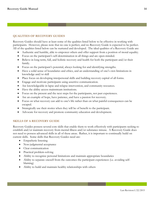#### **QUALITIES OF RECOVERY GUIDES**

Recovery Guides should have at least some of the qualities listed below to be effective in working with participants. However, please note that no one is perfect, and no Recovery Guide is expected to be perfect. All of the qualities listed below can be nurtured and developed. The ideal qualities of a Recovery Guide are:

- Authentic and humble, able to empower others and offer support from a position of moral equality.
- Focus on the participant's self-determination in all things and are open-minded.
- Believe in long-term, full, and holistic recovery and health for both the participant and/or their family.
- Focus on the participant's potential, always looking for and identifying strengths.
- Have a solid sense of boundaries and ethics, and an understanding of one's own limitations in knowledge and/or skill
- Place focus on developing interpersonal skills and building recovery capital of all forms.
- Engage and motivate participants using assertive communication.
- Are knowledgeable in lapse and relapse intervention, and community resources.
- Have the ability access mainstream institutions.
- Focus on the present and the next steps for the participants, not past experiences.
- Are an example of hope, have patience, and have a passion for recovery.
- Focus on what recovery can add to one's life rather than on what painful consequences can be escaped.
- Strategically use their stories when they will be of benefit to the participant.
- Advocate for recovery and promote community education and development.

#### **SKILLS OF A RECOVERY GUIDE**

Recovery Guides possess several core skills that enable them to work effectively with participants seeking to establish and/or maintain recovery from mental illness and/or substance misuse. A Recovery Guide does not need to possess advanced skills in all of these areas. Rather, it is important to continually build on current skills. Some skills that Recovery Guides need are:

- Empathetic listening
- Non-judgmental acceptance
- Clear communication
- Practical problem-solving
- Ability to recognize personal limitations and maintain appropriate boundaries
- Ability to separate oneself from the outcomes the participant experiences (i.e. avoiding selfblaming)
- Ability to build and maintain healthy relationships with others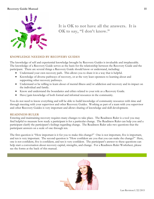

**It is OK to not have all the answers. It is OK to say, "I don't know."**

#### **KNOWLEDGE NEEDED BY RECOVERY GUIDES**

The knowledge of self and experiential knowledge brought by Recovery Guides is invaluable and irreplaceable. The knowledge of a Recovery Guide serves as the basis for the relationship between the Recovery Guide and the participant. There are several things a Recovery Guide should know or understand, including:

- Understand your own recovery path. This allows you to share it in a way that is helpful.
- Knowledge of diverse pathways of recovery, or at the very least openness to learning about and supporting other recovery pathways.
- Understand or be willing to learn about of mental illness and/or addiction and recovery and its impact on the individual and family.
- Know and understand the boundaries and ethics related to your role as a Recovery Guide.
- Have/gain knowledge of both formal and informal resources in the community.

You do not need to know everything and will be able to build knowledge of community resources with time and through meeting with your supervisor and other Recovery Guides. Working as part of a team with you supervisor and other Recovery Guides is very important and allows sharing of knowledge and skill development.

#### **READINESS RULER**

Entering and maintaining recovery requires many changes to take place. The Readiness Ruler is a tool you may find helpful to measure how ready a participant is for a particular change. The Readiness Ruler can help you and a participant clarify the participant's feelings regarding change. The Readiness Ruler asks two questions that the participant answers on a scale of one through ten.

The first question is "How important is it for you to make this change?" One is not important, five is important, and ten is very important. The second question is "How confident are you that you can make the change?" Here, one is not confident, five is confident, and ten is very confident. The participant's answer to these questions can help start a conversation about recovery capital, strengths, and change. For a Readiness Ruler Worksheet, please see the forms at the back of this manual.

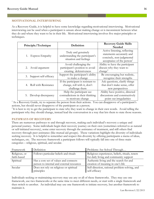#### **MOTIVATIONAL INTERVIEWING**

As a Recovery Guide, it is helpful to have some knowledge regarding motivational interviewing. Motivational interviewing can be used when a participant is unsure about making change or is inconsistent between what they do and where they want to be in their life. Motivational interviewing involves five major principles or techniques.

| Principle/Technique      | Definition                                                                          | <b>Recovery Guide Skills</b><br><b>Needed</b>                                                                                   |  |
|--------------------------|-------------------------------------------------------------------------------------|---------------------------------------------------------------------------------------------------------------------------------|--|
| 1. Express Empathy       | Truly and genuinely<br>understanding the participant's<br>situation and feelings    | Active listening, reflecting<br>statements accurately and<br>concisely, non-judgmental<br>acceptance of the person <sup>1</sup> |  |
| 2. Avoid argument        | Avoid challenging the<br>participant's position to avoid<br>creating defensiveness  | Ability to have the participant<br>discuss why they want to<br>change <sup>2</sup>                                              |  |
| 3. Support self-efficacy | Support the participant's ability<br>to make a change                               | Be encouraging but realistic,<br>recognize their strengths                                                                      |  |
| Roll with Resistance     | If the participant is resistant to<br>change, roll with it, don't<br>challenge them | Ask questions, clarify things<br>that don't make sense, offer<br>new perspectives                                               |  |
| 5. Develop discrepancy   | Help the participant see<br>contradictions in their thinking<br>to motivate change  | Ability have positive, directed<br>discussions and constructively<br>point out irregularities                                   |  |

<sup>1</sup> As a Recovery Guide, try to separate the person from their actions. You can disapprove of a participant's actions, but should never disapprove of the participant as a person.

<sup>2</sup>It is best to try to get the participant to state why they want to change in their own words. Avoid telling the participant why they should change, instead lead the conversation in a way that lets them to state those reasons.

#### **PATHWAYS OF RECOVERY**

There are numerous pathways to and through recovery, making each individual's recovery a unique and personal journey. Some individuals begin their recovery journey on their own (sometimes referred to as natural or self-initiated recovery), some enter recovery through the assistance of treatment, and still others find recovery through peer assistance (like mutual aid groups). These variations highlight the diversity of individuals seeking recovery. It is helpful to remember and respect this diversity by offering participants a menu of ideas, techniques, etc. The recovery framework a participant follows will typically fall into one of three main categories – religious, spiritual, and secular.

| Framework                    | Definition                                                                         | Problems Are Solved Through                                                               |
|------------------------------|------------------------------------------------------------------------------------|-------------------------------------------------------------------------------------------|
| Religious, or<br>faith-based | Follows particular beliefs and rituals                                             | Religious experiences, beliefs, rituals, tenets<br>for daily living and community support |
| Spiritual                    | Has a core set of values and connects<br>person to internal and external resources | Authentic living and the search for and<br>creation of meaning in one's life              |
| Secular                      | Does not rely on religious or spiritual<br>principles                              | Self-direction, rational problem-solving, and<br>self-efficacy                            |

Individuals seeking or maintaining recovery may use any or all of these frameworks. They may use one framework, use two frameworks at the same time to meet different needs, or start with a single framework and then switch to another. An individual may use one framework to initiate recovery, but another framework to maintain it.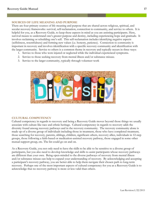#### **SOURCES OF LIFE MEANING AND PURPOSE**

There are four primary sources of life meaning and purpose that are shared across religious, spiritual, and secular recovery frameworks: survival, self-reclamation, connection to community, and service to others. It is helpful for you, as a Recovery Guide, to keep these aspects in mind as you are assisting participants. Here, survival means to understand one's greater purpose and destiny, including experiencing hope and gratitude. It involves reclaiming or rebuilding one's self. This self-reclamation includes identifying negative aspects (selfishness, resentfulness) and forming new values (i.e. honesty, patience). Connection to community is important in recovery and involves identification with a specific recovery community and identification with the larger community. Service to others is a common theme in recovery and typically occurs in three ways:

- 1. Service to those who were injured or neglected while the individual experienced symptoms.
- 2. Service to those seeking recovery from mental illness and/or substance misuse.
- 3. Service to the larger community, typically through volunteer work



#### **CULTURAL COMPETENCY**

Cultural competency in regards to recovery and being a Recovery Guide moves beyond those things we usually associate with culture like race and ethnic heritage. Cultural competency in regards to recovery adds the diversity found among recovery pathways and in the recovery community. The recovery community alone is made up of a diverse group of individuals including those in treatment, those who have completed treatment, those searching for recovery, parents, siblings, children, significant others, recovery allies, individuals in 12-step groups, those following a faith-based or medication-assisted recovery pathway, those engaged in some other mutual support group, etc. The list could go on and on.

As a Recovery Guide, you not only need to have the skills to be able to be sensitive to a diverse group of participants, but you also need to develop knowledge and skills to assist participants whose recovery pathways are different than your own. Being open-minded to the diverse pathways of recovery from mental illness and/or substance misuse can help to expand your understanding of recovery. By acknowledging and accepting a participant's recovery pathway, you are better able to help them navigate their chosen path to long-term recovery. Perhaps one of the most important aspects of cultural competency for you as a Recovery Guide is to acknowledge that no recovery pathway is more or less valid than others.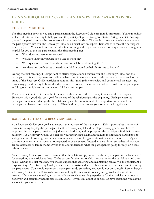### **USING YOUR QUALITIES, SKILLS, AND KNOWLEDGE AS A RECOVERY GUIDE**

#### **THE FIRST MEETING**

The first meeting between you and a participant in the Recovery Guide program is important. Your supervisor will attend this first meeting to help you and the participant get off to a good start. During this first meeting, you and the participant lay the groundwork for your relationship. The key is to create an environment where the participant views you, the Recovery Guide, as an equal, not an expert. Remember to meet the participant where they are. You should not go into this first meeting with any assumptions. Some questions that might be helpful for you to ask the participant at this first meeting are:

- "What does recovery mean to you?"
- "What are things in your life you'd like to work on?"
- "What questions do you have about how we will be working together?"
- "Are there any preferences or needs you think it would be helpful for me to know?"

During the first meeting, it is important to clarify expectations between you, the Recovery Guide, and the participant. It is also important to spell out what commitments are being made by both parties as well as the limits of the Recovery Guide-participant relationship. Taking time to review and complete all the necessary forms may provide a way to begin this discussion. However, it is important not to overwhelm the participant, as filling out multiple forms can be stressful for some people.

There is no set limit for the length of the relationship between the Recovery Guide and the participant. However, it is a good idea set a goal for the end of the relationship at the beginning. Perhaps when the participant achieves certain goals, the relationship can be discontinued. It is important for you and the participant to have an end point in sight. When in doubt, you can ask your supervisor for guidance.

#### **DAILY ACTIVITIES OF A RECOVERY GUIDE**

As a Recovery Guide, your goal is to support the recovery of the participant. This support takes a variety of forms including helping the participant identify recovery capital and develop recovery goals. You help to empower the participant, provide nonjudgmental feedback, and help support the participant find their recovery pathway. As a Recovery Guide, you can use your knowledge, skills, and training to encourage participants to seek greater self-knowledge, including increasing awareness of triggers, strengths, vulnerabilities, etc. Again, you are not an expert and you are not expected to be an expert. Instead, you can listen empathetically as you are an individual or family member who is able to understand what the participant is going through on a level others cannot.

As a Recovery Guide, you must remember that the relationship you have with the participant is the foundation for everything the participant does. To be successful, the relationship must center on the participant and their goals. During the first meeting, you should explain that achieving and maintaining recovery is the participant's responsibility. As a Recovery Guide, you are there to assist and advise, but recovery requires a commitment by the participant. You should never ask a participant to do something you would not do yourself. Remember, as a Recovery Guide, it is OK to make mistakes as long the mistake is honestly recognized and lessons are learned. If you make a mistake, it may provide an excellent learning experience for the participant in how to positively and effectively handle real-life situations. If you ever doubt your skills or have questions, you should speak with your supervisor.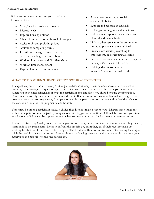Below are some common tasks you may do as a Recovery Guide:

- Make/develop goals for recovery
- Discuss needs
- Explore housing options
- Obtain furniture or other household supplies
- Assist in obtaining, clothing, food
- Assistance completing forms
- Identify and engage recovery supports, perhaps including family members
- Work on interpersonal skills, friendships
- Work on time management
- Explore leisure and fun activities
- Assistance connecting to social activities/hobbies
- Support and rehearse social skills
- Helping/coaching in social situations
- Help maintain appointments related to physical and mental health
- Link to other services in the community related to physical and mental health
- Practice interviewing, searching for employment, or developing a resume
- Link to educational services, supporting the Participant's educational choices
- Helping identify sources of meaning/improve spiritual health

#### **WHAT TO DO WHEN THINGS AREN'T GOING AS EXPECTED**

The qualities you have as a Recovery Guide, particularly as an empathetic listener, allow you to use active listening, paraphrasing, and questioning to mirror inconsistencies and increase the participant's awareness. When you notice inconsistencies in what the participant says and does, you should not use confrontation. Confrontation usually creates defensiveness and is not effective in motivating an individual to change. This does not mean that you sugar-coat, downplay, or enable the participant to continue with unhealthy behavior. Instead, you should be non-judgmental and honest.

There may be times a participant makes a choice that does not make sense to you. Discuss these situations with your supervisor, ask the participant questions, and suggest other options. Ultimately, however, your role as a Recovery Guide is to be supportive even when someone's course of action does not seem promising.

If you, as a Recovery Guide, notice the participant is not taking steps to achieve the recovery goals they created, mention it to the participant. Do not confront the participant, but rather, ask if their recovery goals are working for them or if they need to be changed. The Readiness Ruler or motivational interviewing techniques might be useful tools for you to use. Always discuss challenging situations with your supervisor and use your supervisor as a resource to help the participant.

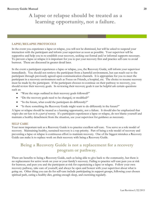# **A lapse or relapse should be treated as a learning opportunity, not a failure.**

#### **LAPSE/RELAPSE PROTOCOLS**

In the event you experience a lapse or relapse, you will not be dismissed, but will be asked to suspend your interaction with the participant and inform your supervisor as soon as possible. Your supervisor will be supportive and help you to re-establish your recovery, seeking out formal and/or informal supports necessary. To prevent a lapse or relapse it is important for you to put your recovery first and practice self-care to avoid burnout. These are discussed in greater detail later.

In the event a participant experiences a lapse or relapse, you, the Recovery Guide, will inform your supervisor immediately. You should not retrieve the participant from a harmful environment, but can reach out to the participant through previously agreed-upon communication channels. It is appropriate for you to meet the participant in a recovery environment such as Focus on Friends, a hospital, etc. The choice to resume recovery must be made by the participant. If the participant chooses to continue on their pathway to recovery, you should review their recovery goals. In reviewing their recovery goals it can be helpful ask certain questions such as:

- "Were the steps outlined in their recovery goals followed?"
- "Do the recovery goals need to be changed, or modified?"
- "In the future, what could the participant do differently?"
- "Is there something the Recovery Guide might want to do differently in the future?"

A lapse or relapse should be treated as a learning opportunity, not a failure. It should also be emphasized that *relapse does not have to be a part of recovery*. If a participant experiences a lapse or relapse, do not blame yourself and maintain a healthy detachment from the situation, use your supervisor for guidance as necessary.

#### **SELF CARE**

Your most important task as a Recovery Guide is to practice excellent self-care. You serve as a role model of recovery. Maintaining healthy, sustained recovery is a top priority. Part of being a role model of recovery and preventing a lapse or relapse is continuous effort to maintain recovery. One of the biggest mistakes a Recovery Guide can make is to replace work on their recovery with being a Recovery Guide.

# **Being a Recovery Guide is not a replacement for a recovery program or pathway**.

There are benefits to being a Recovery Guide, such as being able to give back to the community, but there is no replacement for active work on your or your family's recovery. Failing to practice self-care puts you at risk for burnout, and puts you and the participant at risk for experiencing a lapse or relapse. Follow your own recovery pathway, take care of yourself, and always be open and honest with your supervisor about what is going on. Other thing you can do for self-care include participating in support groups, following your chosen spiritual path, eating a healthy diet, getting enough sleep, and exercising regularly.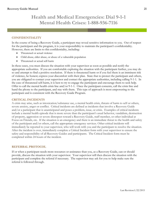# **Health and Medical Emergencies: Dial 9-1-1 Mental Health Crises: 1-888-936-7116**

#### **CONFIDENTIALITY**

In the course of being a Recovery Guide, a participant may reveal sensitive information to you. Out of respect for the participant and the program, it is your responsibility to maintain the participant's confidentiality. However, there are limits to this confidentiality, including:

- Threatened or actual violence
- Child abuse, elder abuse, or abuse of a vulnerable population
- Threatened or actual self-harm

In these cases, you must discuss the situation with your supervisor as soon as possible and notify the appropriate authorities. If you are comfortable exploring the situation with the participant further, you may do so and attempt to find a positive resolution. If there is threatened harm or if you feel there is an imminent risk of violence, be honest; express your discomfort with their plan. State that to protect the participant and others, you are obligated to contact your supervisor and contact the appropriate authorities, including calling 9-1-1. In the case of threatened self-harm, it is best to try to engage the participant and encourage them to seek help. Offer to call the mental health crisis line and/or 9-1-1. Once the participant consents, call the crisis line and hand the phone to the participant, and stay with them. This type of approach is most empowering to the participant and is consistent with the Recovery Guide Program.

#### **CRITICAL INCIDENTS**

A crisis may arise, such as intoxication/substance use, a mental health crisis, threats of harm to self or others, severe anxiety, anger or conflict. Critical incidents are defined as incidents that involve a Recovery Guide and/or a participant that is unanticipated and poses a problem, issue, or crisis. Examples of critical incidents include a mental health episode that is more severe than the participant's usual behavior, vandalism, destruction of property, aggression or severe disrespect toward a Recovery Guide, staff member, or other individual at Focus on Friends, etc. If the situation is an emergency and there is an immediate threat to the health and safety of the participant and/or others, call the appropriate emergency services. Other critical incidents will immediately be reported to your supervisor, who will work with you and the participant to resolve the situation. After the incident is over, immediately complete a Critical Incident form with your supervisor to ensure the safety and responsibility of all Recovery Guides and participants. The Critical Incident form must be completed within 24 hours of the incident.

#### **REFERRAL PROTOCOL**

If or when a participant needs more resources or assistance than you, as a Recovery Guide, can or should provide, discuss the situation with your supervisor. Your supervisor will then discuss the situation with the participant and complete the referral if necessary. The supervisor may ask for you to help make sure the referral is followed through.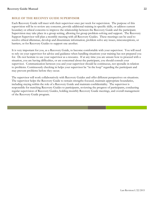#### **ROLE OF THE RECOVEY GUIDE SUPERVISOR**

Each Recovery Guide will meet with their supervisor once per week for supervision. The purpose of this supervision will be to review any concerns, provide additional training in specific skills, or address current boundary or ethical concerns to improve the relationship between the Recovery Guide and the participant. Supervision may take place in a group setting, allowing for group problem-solving and support. The Recovery Support Supervisor will plan a monthly meeting with all Recovery Guides. These meetings can be used to resolve ethical dilemmas, develop and disseminate information, problem solve any issues, misconceptions, or barriers, or for Recovery Guides to support one another.

It is very important for you, as a Recovery Guide, to become comfortable with your supervisor. You will need to rely on your supervisor for advice and guidance when handling situations your training has not prepared you for. Do not hesitate to use your supervisor as a resource. If at any time you are unsure how to proceed with a situation, you are having difficulties, or are concerned about the participant, you should consult your supervisor. Communication between you and your supervisor should be continuous, not sporadic in relation to problems. Continuously checking in helps your supervisor be "in the loop" regarding the participant and may prevent problems before they occur.

The supervisor will work collaboratively with Recovery Guides and offer different perspectives on situations. The supervisor helps the Recovery Guide to remain strengths-focused, maintain appropriate boundaries, including staying within the role of a Recovery Guide and maintain confidentiality. The supervisor is responsible for matching Recovery Guides to participants, reviewing the progress of participants, conducting regular supervision of Recovery Guides, holding monthly Recovery Guide meetings, and overall management of the Recovery Guide program.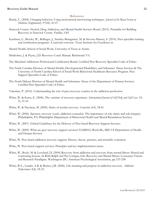#### **References**

- Bundy, C. (2004). Changing behavior: Using motivational interviewing techniques. *Journal of the Royal Society of Medicine (Supplement), 97*(44), 43-47.
- Hancock County Alcohol, Drug Addiction, and Mental Health Services Board. (2013). Preamble for Building Recovery in Hancock County. Findlay, OH.
- Kaufman, L., Brooks, W., Bellinger, J., Steinley-Bumgarner, M. & Stevens-Manser, S. (2014). Peer specialist training and certification programs: A national overview*.* Texas Institute for Excellence in
- Mental Health, School of Social Work, University of Texas at Austin.
- Shinholser, J. & Payne, J.D. Recovery Coach Manual. Richmond: VA.
- The Maryland Addictions Professional Certification Board. Certified Peer Recovery Specialist Code of Ethics
- The North Carolina Division of Mental Health, Developmental Disabilities, and Substance Abuse Services & The University of North Carolina School of Social Work Behavioral Healthcare Resource Program. Peer Support Specialist Code of Ethics.
- The North Dakota Division of Mental Health and Substance Abuse of the Department of Human Services. Certified Peer Specialist Code of Ethics.
- Valentine, P. (2014). Understanding the role of peer recovery coaches in the addiction profession.
- White, W. & Kurtz, E. (2006). The varieties of recovery experience. *International Journal of Self Help and Self Care, 3*(1- 2), 21-61.
- White, W. & Nicolaus, M. (2005). Styles of secular recovery*. Counselor, 6*(4), 58-61.
- White, W. (2006). Sponsor, recovery coach, addiction counselor: The importance of role clarity and role integrity*.* Philadelphia, PA: Philadelphia Department of Behavioral Health and Mental Retardation Services.
- White, W. (2007). Ethical Guidelines for the Delivery of Peer-based Recovery Support Services.
- White, W. (2009). What are peer recovery support services? SAMSHA, Rockville, MD: US Department of Health and Human Services
- White, W. Peer-based addiction recovery support: History, theory, practice, and scientific evaluation.
- White, W. Peer-based support services: Principles and key implementation issues.
- White, W., Boyle, M. & Loveland, D. (2004) Recovery from addiction and recovery from mental illness: Shared and contrasting lessons. In Ruth Ralph and Pat Corrigan, Eds. Recovery and Mental Illness: Consumer Visions and Research Paradigms. Washington DC: American Psychological Association, pp 233-258.
- White, W.L., Laudet, A.B. & Becker, J.B. (2006). Life meaning and purpose in addiction recovery. *Addiction Professional, 4*(4), 18-23.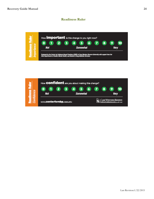#### **Readiness Ruler**



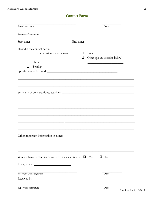# **Contact Form**

| Participant name                                                                                |               | Date                                   |
|-------------------------------------------------------------------------------------------------|---------------|----------------------------------------|
| Recovery Guide name                                                                             |               |                                        |
|                                                                                                 |               | End time:                              |
| How did the contact occur?<br>In person (list location below)<br>$\sim$<br>Phone<br>Texting     | ப<br>$\sqcup$ | Email<br>Other (please describe below) |
|                                                                                                 |               |                                        |
|                                                                                                 |               |                                        |
|                                                                                                 |               |                                        |
| Was a follow-up meeting or contact time established? $\square$<br>If yes, when? $\qquad \qquad$ |               | Yes<br>N <sub>0</sub><br>⊔             |
| Recovery Guide Signature<br>Received by:                                                        |               | Date                                   |

Date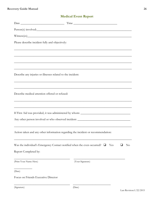| Please describe incident fully and objectively:             | ,我们也不能在这里的时候,我们也不能在这里的时候,我们也不能会在这里的时候,我们也不能会在这里的时候,我们也不能会在这里的时候,我们也不能会在这里的时候,我们也不                                    |
|-------------------------------------------------------------|----------------------------------------------------------------------------------------------------------------------|
|                                                             |                                                                                                                      |
|                                                             |                                                                                                                      |
|                                                             | <u> 1989 - Jan Samuel Barbara, margaret a shekara ta 1989 - Andrea Samuel Barbara, marka ta 1989 - Andrea Samuel</u> |
| Describe any injuries or illnesses related to the incident: |                                                                                                                      |
|                                                             |                                                                                                                      |
| Describe medical attention offered or refused:              |                                                                                                                      |
|                                                             | ,我们也不能在这里的时候,我们也不能在这里的时候,我们也不能在这里的时候,我们也不能会在这里的时候,我们也不能会在这里的时候,我们也不能会在这里的时候,我们也不                                     |
|                                                             | If First Aid was provided, it was administered by whom: _________________________                                    |
|                                                             |                                                                                                                      |
|                                                             | ,我们也不能在这里的时候,我们也不能在这里的时候,我们也不能会在这里的时候,我们也不能会在这里的时候,我们也不能会在这里的时候,我们也不能会在这里的时候,我们也                                     |
|                                                             | Action taken and any other information regarding the incident or recommendation:                                     |
|                                                             | Was the individual's Emergency Contact notified when the even occurred? $\Box$<br>Yes<br>$\rm No$                    |
| Report Completed by:                                        |                                                                                                                      |
| (Print Your Name Here)                                      | (Your Signature)                                                                                                     |
| (Date)                                                      |                                                                                                                      |
| Focus on Friends Executive Director                         |                                                                                                                      |

\_\_\_\_\_\_\_\_\_\_\_\_\_\_\_\_\_\_\_\_\_\_\_\_\_\_\_\_\_\_\_\_\_\_\_\_\_ \_\_\_\_\_\_\_\_\_\_\_\_\_\_\_\_\_\_\_\_\_\_\_\_\_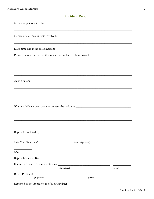| <u> 1989 - Johann Stoff, amerikansk politiker (d. 1989)</u><br>Names of staff/volunteers involved: |             |                  |        |        |  |
|----------------------------------------------------------------------------------------------------|-------------|------------------|--------|--------|--|
| ,我们也不能在这里的人,我们也不能在这里的人,我们也不能在这里的人,我们也不能在这里的人,我们也不能在这里的人,我们也不能在这里的人,我们也不能在这里的人,我们也                  |             |                  |        |        |  |
| Please describe the events that occurred as objectively as possible:                               |             |                  |        |        |  |
|                                                                                                    |             |                  |        |        |  |
|                                                                                                    |             |                  |        |        |  |
| <u> 1989 - Johann Stoff, amerikansk politiker (d. 1989)</u>                                        |             |                  |        |        |  |
|                                                                                                    |             |                  |        |        |  |
| What could have been done to prevent the incident: ______________________________                  |             |                  |        |        |  |
|                                                                                                    |             |                  |        |        |  |
| Report Completed By:                                                                               |             |                  |        |        |  |
| (Print Your Name Here)                                                                             |             | (Your Signature) |        |        |  |
| (Date)                                                                                             |             |                  |        |        |  |
| Report Reviewed By:                                                                                |             |                  |        |        |  |
| Focus on Friends Executive Director                                                                | (Signature) |                  |        | (Date) |  |
| Board President                                                                                    |             |                  |        |        |  |
| (Signature)                                                                                        |             |                  | (Date) |        |  |

Reported to the Board on the following date:

### **Incident Report**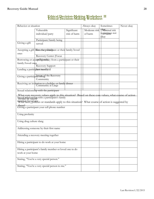# **Ethical Decision-Making Worksheet** I **Ethical Decision-Making Worksheet II**

| Behavior or situation             |                                                                                                                                                                                                                                                          | Always okay                 | Sometimes                | Never okay                              |  |
|-----------------------------------|----------------------------------------------------------------------------------------------------------------------------------------------------------------------------------------------------------------------------------------------------------|-----------------------------|--------------------------|-----------------------------------------|--|
|                                   | Vulnerable<br>individual/party                                                                                                                                                                                                                           | Significant<br>risk of harm | Moderate risk<br>of harm | Okaynimal risk<br>sometimes not<br>okay |  |
|                                   | Participant/family being                                                                                                                                                                                                                                 |                             |                          |                                         |  |
| Giving a gift                     | served                                                                                                                                                                                                                                                   |                             |                          |                                         |  |
| ones                              | Accepting a gift file enother particulerant or their family/loved                                                                                                                                                                                        |                             |                          |                                         |  |
|                                   | Recovery Center (Focus                                                                                                                                                                                                                                   |                             |                          |                                         |  |
| family/loved ones                 | Borrowing or adceptiligands)ey from a partidipant or their                                                                                                                                                                                               |                             |                          |                                         |  |
|                                   | Recovery Support                                                                                                                                                                                                                                         |                             |                          |                                         |  |
| Lending a participent incent jeld |                                                                                                                                                                                                                                                          |                             |                          |                                         |  |
|                                   | Giving a participal magnon the Recovery<br>Community                                                                                                                                                                                                     |                             |                          |                                         |  |
|                                   | Receiving an invitation to a holiday or family dinner<br>Community at Large                                                                                                                                                                              |                             |                          |                                         |  |
|                                   | Sexual relationship with the participant                                                                                                                                                                                                                 |                             |                          |                                         |  |
|                                   | What core recovery values apply to this situation? Based on these core values, what course of action<br>Sexual relationship with a participant's family<br>rwmher/loyed mees or standards apply to this situation? What course of action is suggested by |                             |                          |                                         |  |
|                                   | these?<br>Giving a participant your cell phone number                                                                                                                                                                                                    |                             |                          |                                         |  |
| Using profanity                   |                                                                                                                                                                                                                                                          |                             |                          |                                         |  |
| Using drug culture slang          |                                                                                                                                                                                                                                                          |                             |                          |                                         |  |
|                                   | Addressing someone by their first name                                                                                                                                                                                                                   |                             |                          |                                         |  |
|                                   | Attending a recovery meeting together                                                                                                                                                                                                                    |                             |                          |                                         |  |
|                                   | Hiring a participant to do work at your home                                                                                                                                                                                                             |                             |                          |                                         |  |
| work at your home                 | Hiring a participant's family member or loved one to do                                                                                                                                                                                                  |                             |                          |                                         |  |
|                                   | Stating, "You're a very special person."                                                                                                                                                                                                                 |                             |                          |                                         |  |
|                                   | Stating, "You're a very special person to me."                                                                                                                                                                                                           |                             |                          |                                         |  |